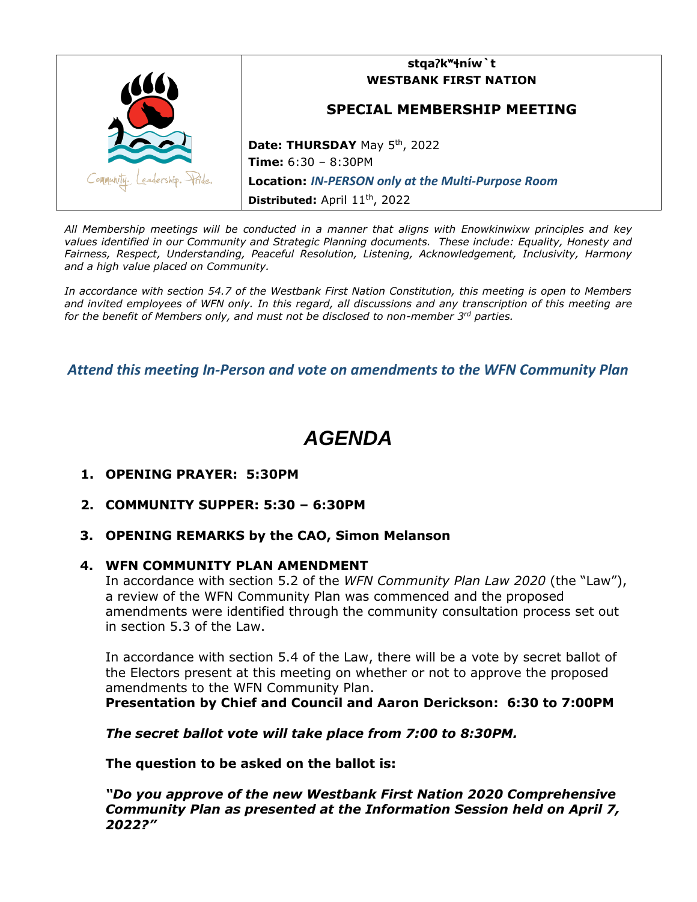

*All Membership meetings will be conducted in a manner that aligns with Enowkinwixw principles and key values identified in our Community and Strategic Planning documents. These include: Equality, Honesty and Fairness, Respect, Understanding, Peaceful Resolution, Listening, Acknowledgement, Inclusivity, Harmony and a high value placed on Community.*

*In accordance with section 54.7 of the Westbank First Nation Constitution, this meeting is open to Members and invited employees of WFN only. In this regard, all discussions and any transcription of this meeting are for the benefit of Members only, and must not be disclosed to non-member 3rd parties.*

*Attend this meeting In-Person and vote on amendments to the WFN Community Plan*

## *AGENDA*

- **1. OPENING PRAYER: 5:30PM**
- **2. COMMUNITY SUPPER: 5:30 – 6:30PM**
- **3. OPENING REMARKS by the CAO, Simon Melanson**

## **4. WFN COMMUNITY PLAN AMENDMENT**

In accordance with section 5.2 of the *WFN Community Plan Law 2020* (the "Law"), a review of the WFN Community Plan was commenced and the proposed amendments were identified through the community consultation process set out in section 5.3 of the Law.

In accordance with section 5.4 of the Law, there will be a vote by secret ballot of the Electors present at this meeting on whether or not to approve the proposed amendments to the WFN Community Plan. **Presentation by Chief and Council and Aaron Derickson: 6:30 to 7:00PM**

*The secret ballot vote will take place from 7:00 to 8:30PM.*

**The question to be asked on the ballot is:**

*"Do you approve of the new Westbank First Nation 2020 Comprehensive Community Plan as presented at the Information Session held on April 7, 2022?"*